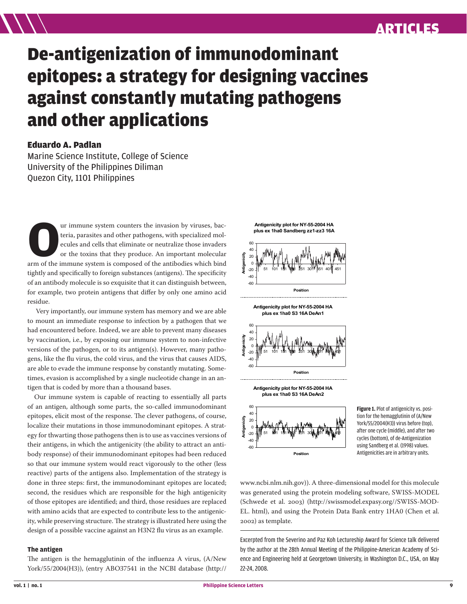## ARTICLES

# De-antigenization of immunodominant epitopes: a strategy for designing vaccines against constantly mutating pathogens and other applications

### Eduardo A. Padlan

Marine Science Institute, College of Science University of the Philippines Diliman Quezon City, 1101 Philippines

**O**ur immune system counters the invasion by viruses, bac-arm of the immune system is composed of the antibodies which bind teria, parasites and other pathogens, with specialized molecules and cells that eliminate or neutralize those invaders or the toxins that they produce. An important molecular tightly and specifically to foreign substances (antigens). The specificity of an antibody molecule is so exquisite that it can distinguish between, for example, two protein antigens that differ by only one amino acid residue.

 Very importantly, our immune system has memory and we are able to mount an immediate response to infection by a pathogen that we had encountered before. Indeed, we are able to prevent many diseases by vaccination, i.e., by exposing our immune system to non-infective versions of the pathogen, or to its antigen(s). However, many pathogens, like the flu virus, the cold virus, and the virus that causes AIDS, are able to evade the immune response by constantly mutating. Sometimes, evasion is accomplished by a single nucleotide change in an antigen that is coded by more than a thousand bases.

Our immune system is capable of reacting to essentially all parts of an antigen, although some parts, the so-called immunodominant epitopes, elicit most of the response. The clever pathogens, of course, localize their mutations in those immunodominant epitopes. A strategy for thwarting those pathogens then is to use as vaccines versions of their antigens, in which the antigenicity (the ability to attract an antibody response) of their immunodominant epitopes had been reduced so that our immune system would react vigorously to the other (less reactive) parts of the antigens also. Implementation of the strategy is done in three steps: first, the immunodominant epitopes are located; second, the residues which are responsible for the high antigenicity of those epitopes are identified; and third, those residues are replaced with amino acids that are expected to contribute less to the antigenicity, while preserving structure. The strategy is illustrated here using the design of a possible vaccine against an H3N2 flu virus as an example.

#### **The antigen**

The antigen is the hemagglutinin of the influenza A virus, (A/New York/55/2004(H3)), (entry ABO37541 in the NCBI database (http://



**Antigenicity plot for NY-55-2004 HA plus ex 1ha0 S3 16A DeAn1**



**Antigenicity plot for NY-55-2004 HA plus ex 1ha0 S3 16A DeAn2**



**Figure 1.** Plot of antigenicity vs. position for the hemagglutinin of (A/New York/55/2004(H3)) virus before (top), after one cycle (middle), and after two cycles (bottom), of de-Antigenization using Sandberg et al. (1998) values. Antigenicities are in arbitrary units.

www.ncbi.nlm.nih.gov)). A three-dimensional model for this molecule was generated using the protein modeling software, SWISS-MODEL (Schwede et al. 2003) (http://swissmodel.expasy.org//SWISS-MOD-EL. html), and using the Protein Data Bank entry 1HA0 (Chen et al. ) as template.

Excerpted from the Severino and Paz Koh Lectureship Award for Science talk delivered by the author at the 28th Annual Meeting of the Philippine-American Academy of Science and Engineering held at Georgetown University, in Washington D.C., USA, on May 22-24, 2008.